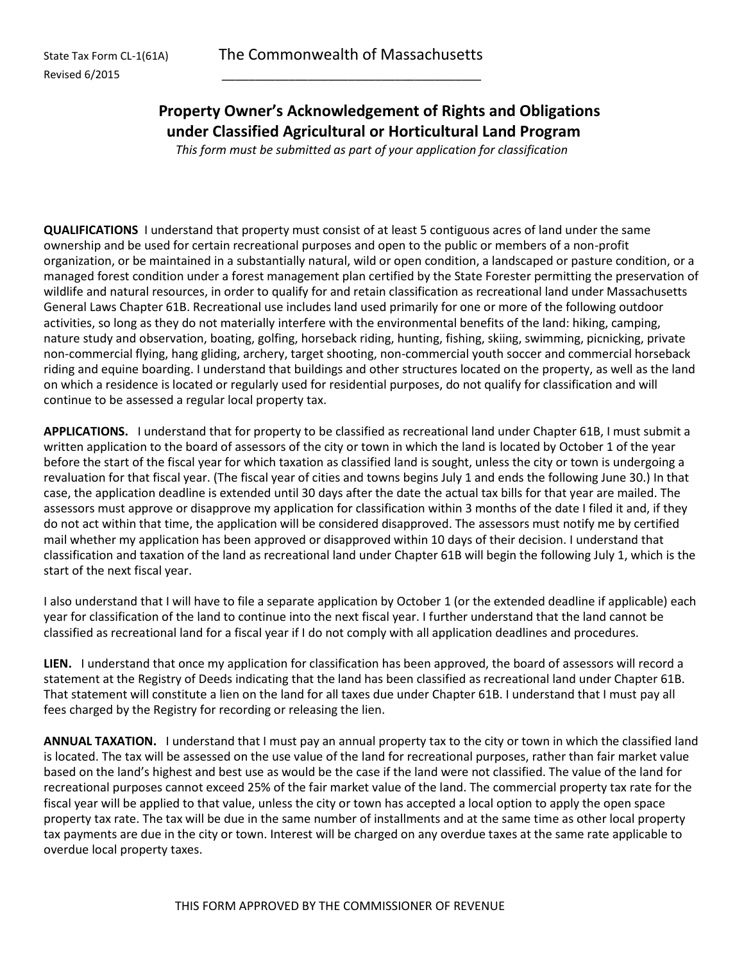## **Property Owner's Acknowledgement of Rights and Obligations under Classified Agricultural or Horticultural Land Program**

*This form must be submitted as part of your application for classification*

**QUALIFICATIONS** I understand that property must consist of at least 5 contiguous acres of land under the same ownership and be used for certain recreational purposes and open to the public or members of a non-profit organization, or be maintained in a substantially natural, wild or open condition, a landscaped or pasture condition, or a managed forest condition under a forest management plan certified by the State Forester permitting the preservation of wildlife and natural resources, in order to qualify for and retain classification as recreational land under Massachusetts General Laws Chapter 61B. Recreational use includes land used primarily for one or more of the following outdoor activities, so long as they do not materially interfere with the environmental benefits of the land: hiking, camping, nature study and observation, boating, golfing, horseback riding, hunting, fishing, skiing, swimming, picnicking, private non-commercial flying, hang gliding, archery, target shooting, non-commercial youth soccer and commercial horseback riding and equine boarding. I understand that buildings and other structures located on the property, as well as the land on which a residence is located or regularly used for residential purposes, do not qualify for classification and will continue to be assessed a regular local property tax.

**APPLICATIONS.** I understand that for property to be classified as recreational land under Chapter 61B, I must submit a written application to the board of assessors of the city or town in which the land is located by October 1 of the year before the start of the fiscal year for which taxation as classified land is sought, unless the city or town is undergoing a revaluation for that fiscal year. (The fiscal year of cities and towns begins July 1 and ends the following June 30.) In that case, the application deadline is extended until 30 days after the date the actual tax bills for that year are mailed. The assessors must approve or disapprove my application for classification within 3 months of the date I filed it and, if they do not act within that time, the application will be considered disapproved. The assessors must notify me by certified mail whether my application has been approved or disapproved within 10 days of their decision. I understand that classification and taxation of the land as recreational land under Chapter 61B will begin the following July 1, which is the start of the next fiscal year.

I also understand that I will have to file a separate application by October 1 (or the extended deadline if applicable) each year for classification of the land to continue into the next fiscal year. I further understand that the land cannot be classified as recreational land for a fiscal year if I do not comply with all application deadlines and procedures.

**LIEN.** I understand that once my application for classification has been approved, the board of assessors will record a statement at the Registry of Deeds indicating that the land has been classified as recreational land under Chapter 61B. That statement will constitute a lien on the land for all taxes due under Chapter 61B. I understand that I must pay all fees charged by the Registry for recording or releasing the lien.

**ANNUAL TAXATION.** I understand that I must pay an annual property tax to the city or town in which the classified land is located. The tax will be assessed on the use value of the land for recreational purposes, rather than fair market value based on the land's highest and best use as would be the case if the land were not classified. The value of the land for recreational purposes cannot exceed 25% of the fair market value of the land. The commercial property tax rate for the fiscal year will be applied to that value, unless the city or town has accepted a local option to apply the open space property tax rate. The tax will be due in the same number of installments and at the same time as other local property tax payments are due in the city or town. Interest will be charged on any overdue taxes at the same rate applicable to overdue local property taxes.